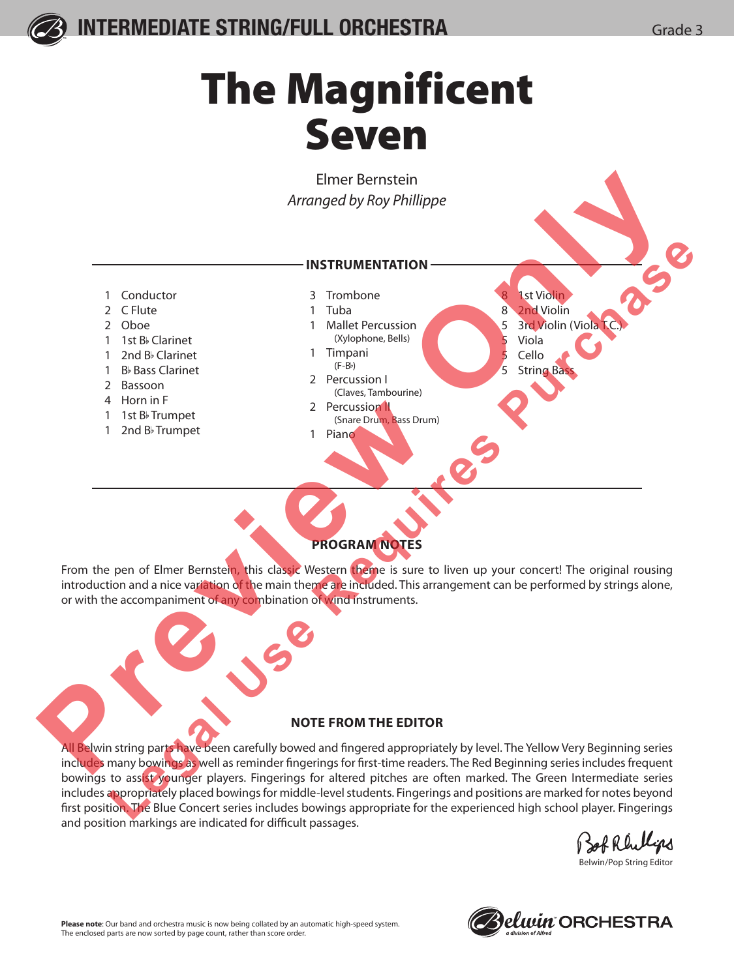

## The Magnificent Seven



## **PROGRAM NOTES**

From the pen of Elmer Bernstein, this classic Western theme is sure to liven up your concert! The original rousing introduction and a nice variation of the main theme are included. This arrangement can be performed by strings alone, or with the accompaniment of any combination of wind instruments.

## **NOTE FROM THE EDITOR**

All Belwin string parts have been carefully bowed and fingered appropriately by level. The Yellow Very Beginning series includes many bowings as well as reminder fingerings for first-time readers. The Red Beginning series includes frequent bowings to assist younger players. Fingerings for altered pitches are often marked. The Green Intermediate series includes appropriately placed bowings for middle-level students. Fingerings and positions are marked for notes beyond first position. The Blue Concert series includes bowings appropriate for the experienced high school player. Fingerings and position markings are indicated for difficult passages.

Bof Rhillips

Belwin/Pop String Editor

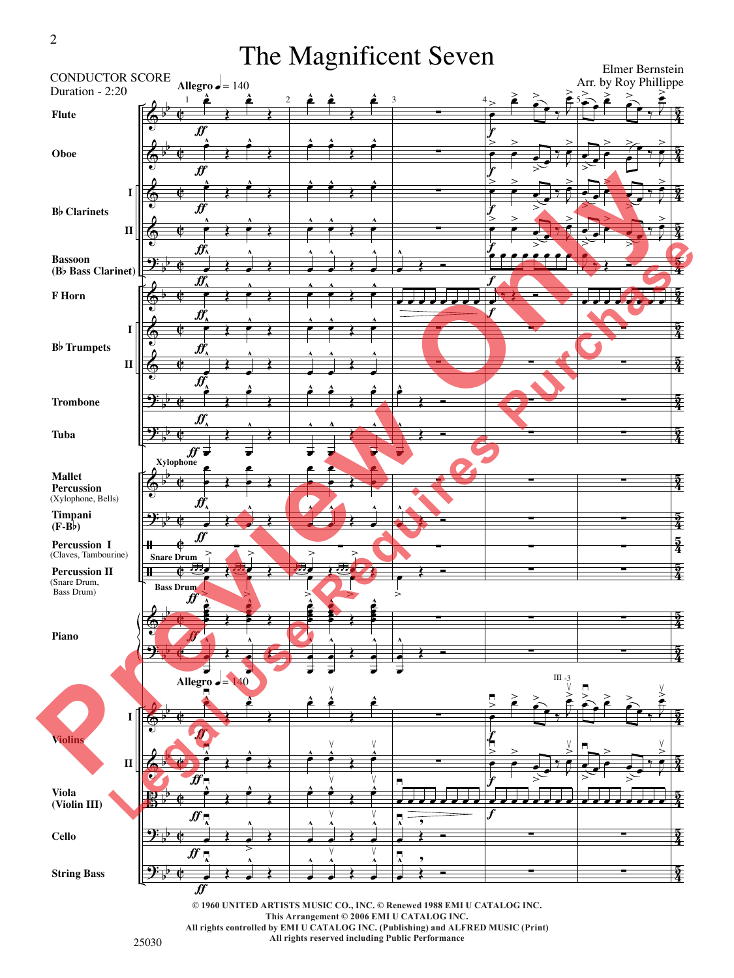## The Magnificent Seven



**All rights reserved including Public Performance. All rights reserved including Public Performance**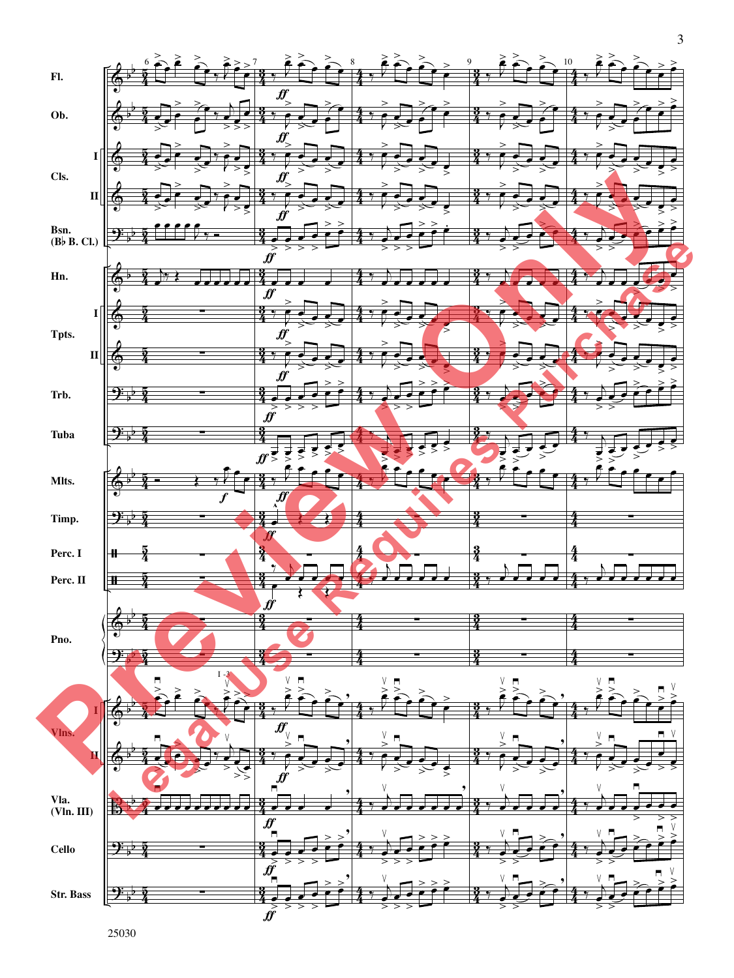&&&&?&&&??&?ãã&?&&B?? b b b b b b bb b b b b b b b b b b b b b b b b b b b b b 454545454545454545454545454545454545454545 434343434343434343434343434343434343434343 444444444444444444444444444444444444444444 434343434343434343434343434343434343434343 444444444444444444444444444444444444444444 **Fl. Cls. Tpts. Vlns. Ob. Bsn. (B** b **B. Cl.) Hn. Trb. Tuba Timp. Vla. (Vln. III) Cello Str. Bass I III III II Mlts. Perc. II Pno. Perc. I** 6 œ> œ œ> œ> œ ‰ Jœ> œ> œ> œ> œ œ> œ> œ ‰ jœ> œ> œ> œ> œ œ> œ> œ ‰ Jœ> œ> œ> œ> œ œ> œ> œ ‰ Jœ> œ> œ> œ œ œ œ Jœ ‰ Ó jœ ‰ Œ œ œ œ œ œ œ ∑∑∑∑ Ó Œ ‰ Jœf œ œ ∑∑∑∑∑ œ>≥ œ œ> œ> œ ‰ Jœ>≤ I -3 œ> œ> œ>≥ œ œ> œ> œ ‰ jœ>≤ œ> œ> ϳ œ œ œ œ œ œ œ œ œ ∑∑ ,,,,, 7 ‰ Jœ>ƒ œ> œ œ> œ ‰ Jœ>ƒ œ> œ œ> œ ‰ Jœ>ƒ œ> œ œ> œ ‰ Jœ>ƒ œ> œ œ> œ œ>ƒ œ> œ> œ> œ> œ> œƒ œ œ œ ‰ Jœ>ƒ œ> œ œ> œ ‰ Jœ>ƒ œ> œ œ> œ œ>ƒ œ> œ> œ> œ> œ> œ ƒ > œ> œ> œ> œ> œ> ‰ Jœƒ œ œ œ œ œ^ ƒ Œ Œ <sup>∑</sup> ‰ jœ œ <sup>œ</sup> <sup>œ</sup> œ œƒ Œ Œ ∑∑ ‰ Jœ>≤ ƒ œ>≥ œ œ> œ ‰ Jœ>≤ ƒ œ>≥ œ œ> œ œ≥ƒ œ œ œ œ>≥ƒ œ> œ> œ> œ> œ> œ>≥ƒ œ> œ> œ> œ> œ> , 8 ‰ Jœ> œ> œ œ> œ œ> ‰ Jœ> œ> œ œ> œ œ> ‰ Jœ> œ> œ œ> œ œ> ‰ Jœ> œ> œ œ> œ œ> ‰ jœ> œ> œ> œ> œ> œ. ‰ j œ œ œ œ œ œ ‰ Jœ> œ> œ œ> œ œ> ‰ Jœ> œ> œ œ> œ œ> ‰ jœ> œ> œ> œ> œ> œ> ‰ jœ> œ> œ> œ> œ> œ> ‰ Jœ œ œ œ œ œ ∑∑ ‰ j œ œ œ œ œ œ ∑∑ ‰ Jœ>≤ œ>≥ œ œ> œ œ> ‰ Jœ>≤ œ>≥ œ œ> œ œ> ‰ jϲ œ œ œ œ œ œ ‰ jœ>≤ œ> œ> œ> œ> œ> ‰ jœ>≤ œ> œ> œ> œ> œ> ,,,,, 9 ‰ Jœ> œ> œ œ> œ ‰ Jœ> œ> œ œ> œ ‰ Jœ> œ> œ œ> œ ‰ Jœ> œ> œ œ> œ ‰ jœ> œ> œ œ> œ ‰ j œ œ œ œ œ ‰ Jœ> œ> œ œ> œ ‰ Jœ> œ> œ œ> œ ‰ jœ> œ> œ œ> œ ‰ jœ> œ> œ œ> œ ‰ Jœ œ œ œ œ ∑∑ ‰ j œ œ œ œ œ ∑∑ ‰ Jœ>≤ œ>≥ œ œ> œ ‰ Jœ>≤ œ>≥ œ œ> œ ‰ jϲ œ œ œ œ ‰ jœ>≤ œ>≥ œ œ> œ ‰ jœ>≤ œ>≥ œ œ> œ 10 ‰ Jœ> œ> œ œ> œ œ> œ> ‰ Jœ> œ> œ œ> œ œ> œ> ‰ Jœ> œ> œ œ> œ œ> œ> ‰ Jœ> œ> œ œ> œ œ> œ> ‰ jœ> œ> œ œ> œ œ> œ> ‰ j œ œ œ œ> œ œ> œ> ‰ Jœ> œ> œ œ> œ œ> œ> ‰ Jœ> œ> œ œ> œ œ> œ> ‰ jœ> œ> œ œ> œ œ> œ> ‰ jœ> œ> œ œ> œ œ> œ> ‰ Jœ œ œ œ œ œ œ ∑∑ ‰ j œ œ œ œ œ œ œ ∑∑ ‰ Jœ>≤ œ>≥ œ œ> œ œ>≥ œ>≤ ‰ Jœ>≤ œ>≥ œ œ> œ œ>≥ œ>≤ ‰ jϲ œ œ œ>≥ œ œ> œ> ‰ jœ>≤ œ>≥ œ œ> œ œ>≥ œ>≤ ‰ jœ>≤ œ>≥ œ œ> œ œ>≥ œ>≤ **Preview Only Legal Use Requires Purchase**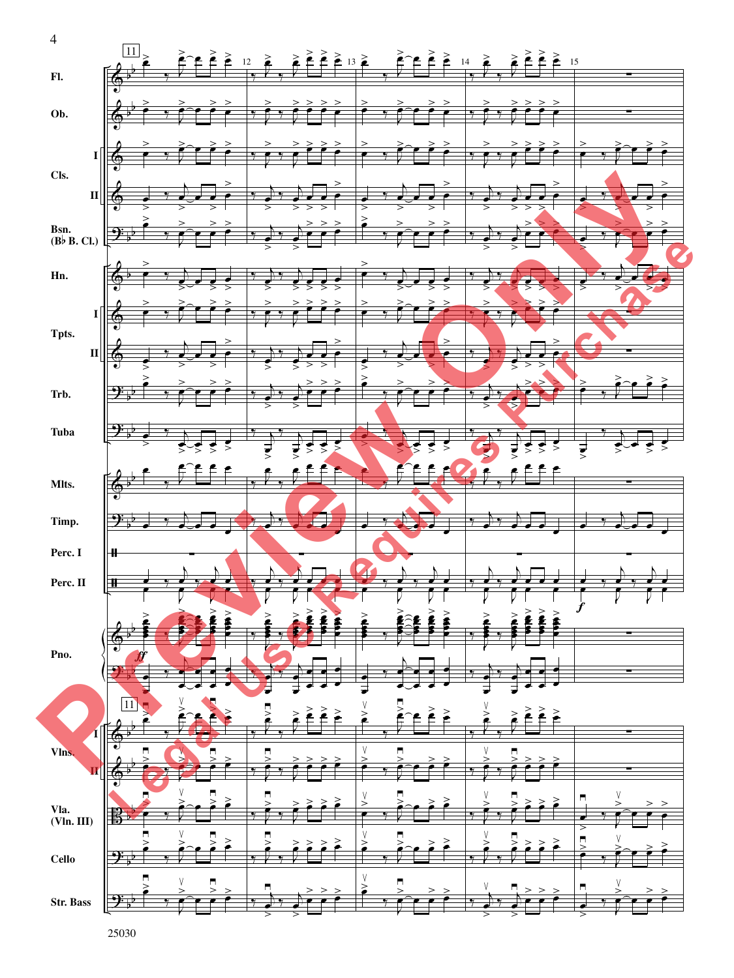![](_page_3_Figure_0.jpeg)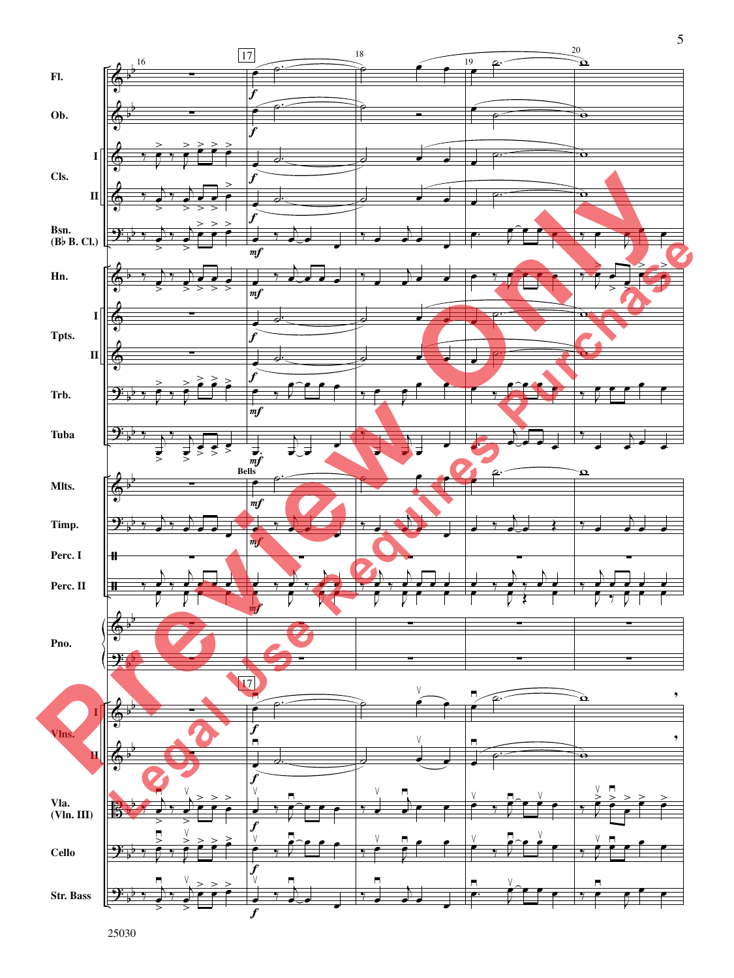![](_page_4_Figure_0.jpeg)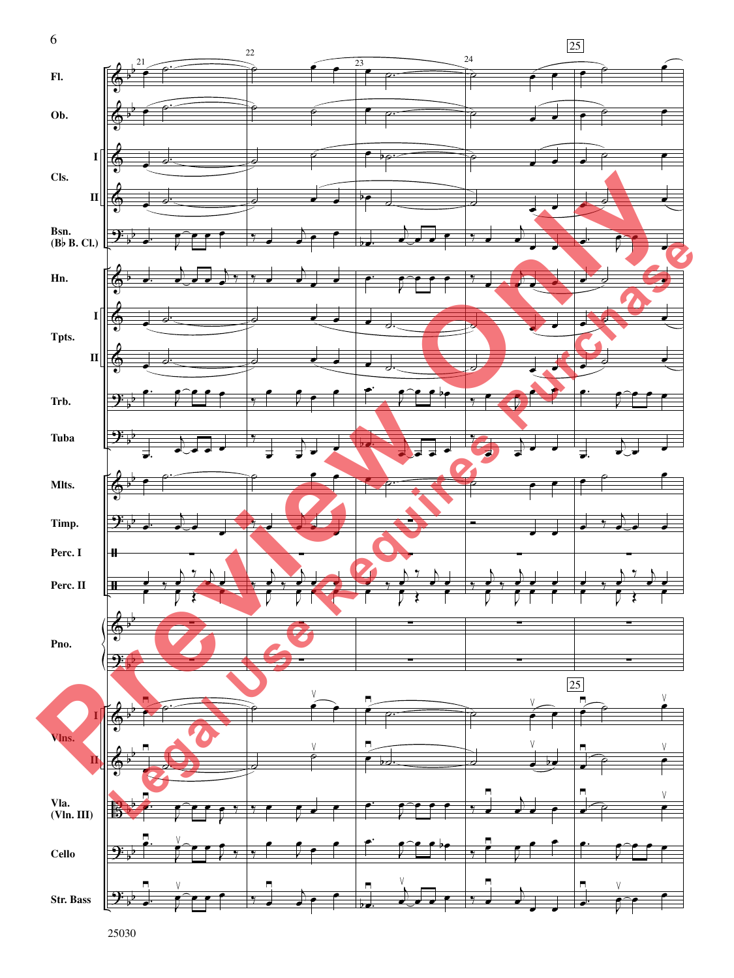![](_page_5_Figure_0.jpeg)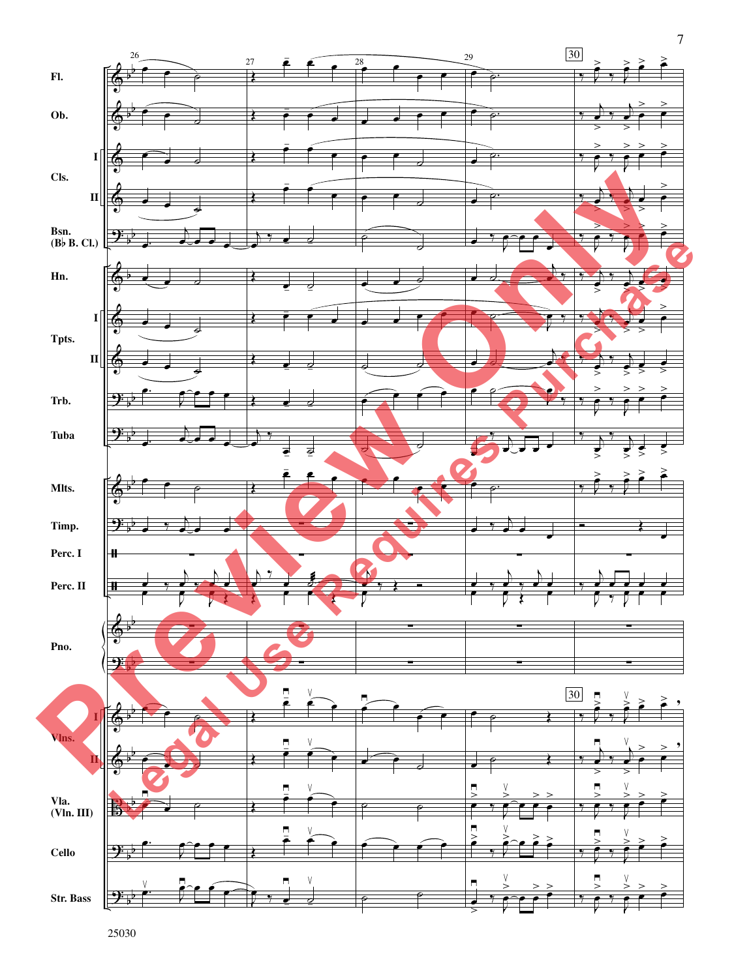![](_page_6_Figure_0.jpeg)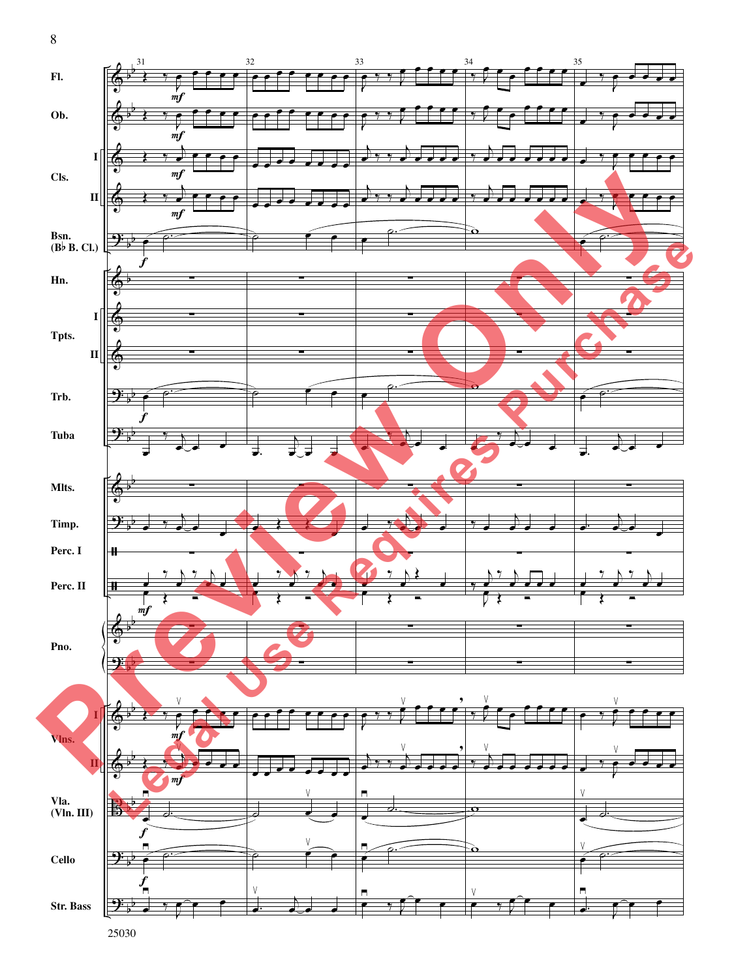![](_page_7_Figure_0.jpeg)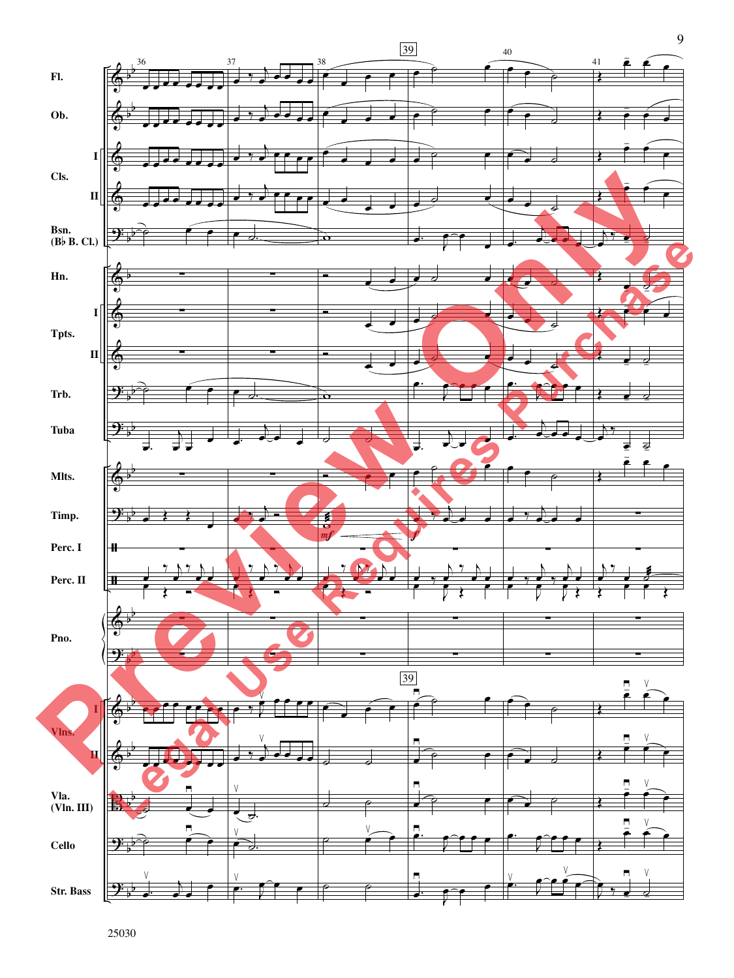![](_page_8_Figure_0.jpeg)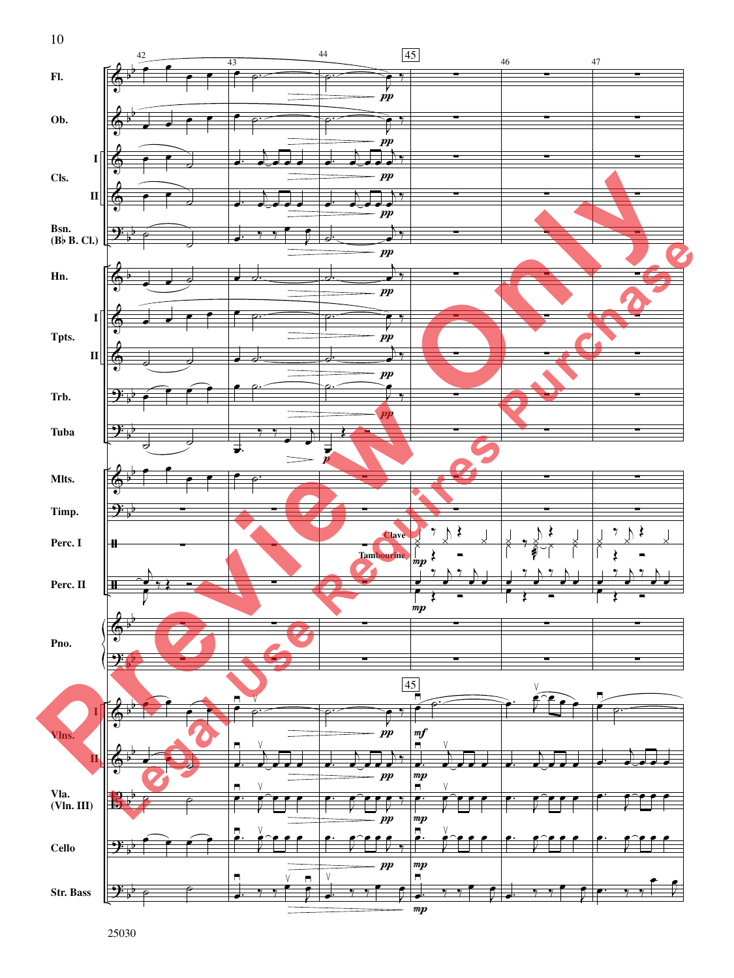![](_page_9_Figure_0.jpeg)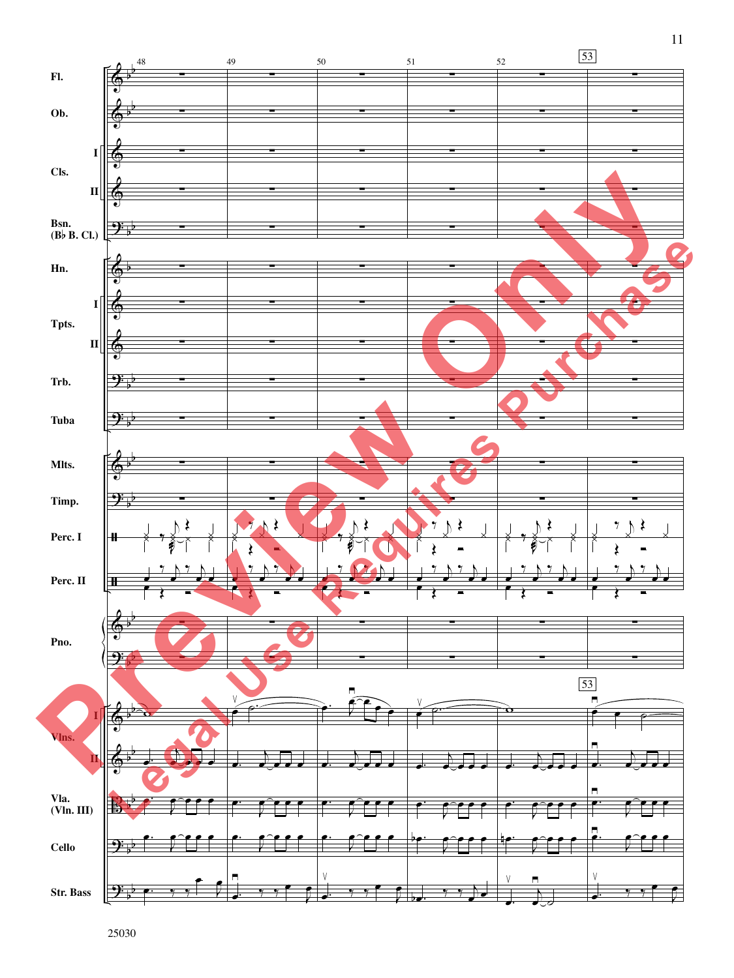![](_page_10_Figure_0.jpeg)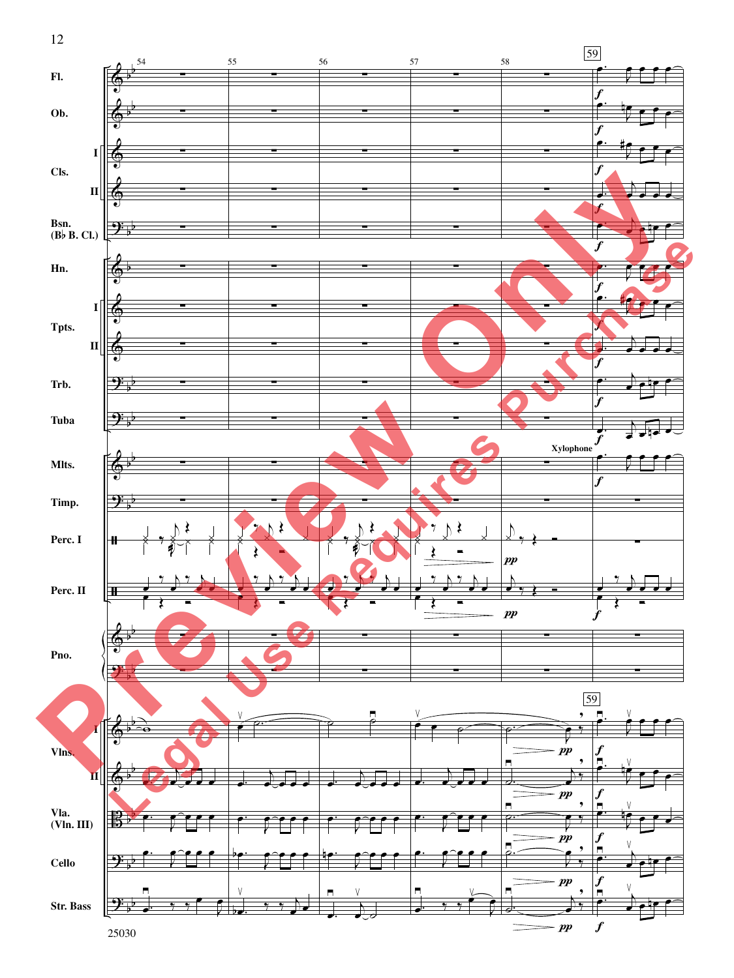![](_page_11_Figure_0.jpeg)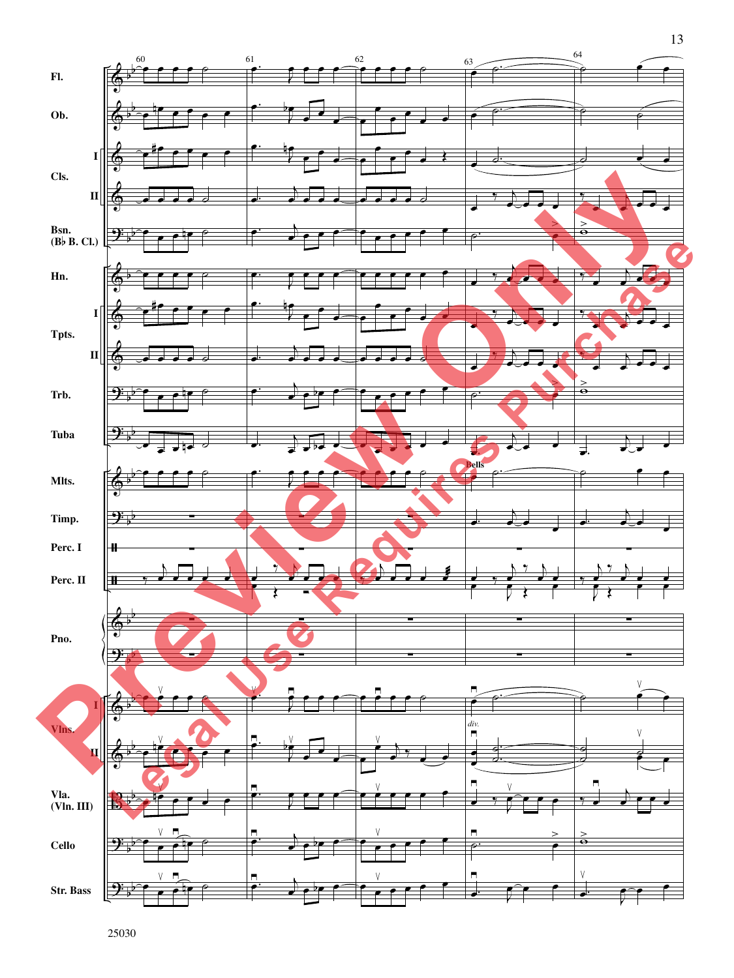![](_page_12_Figure_0.jpeg)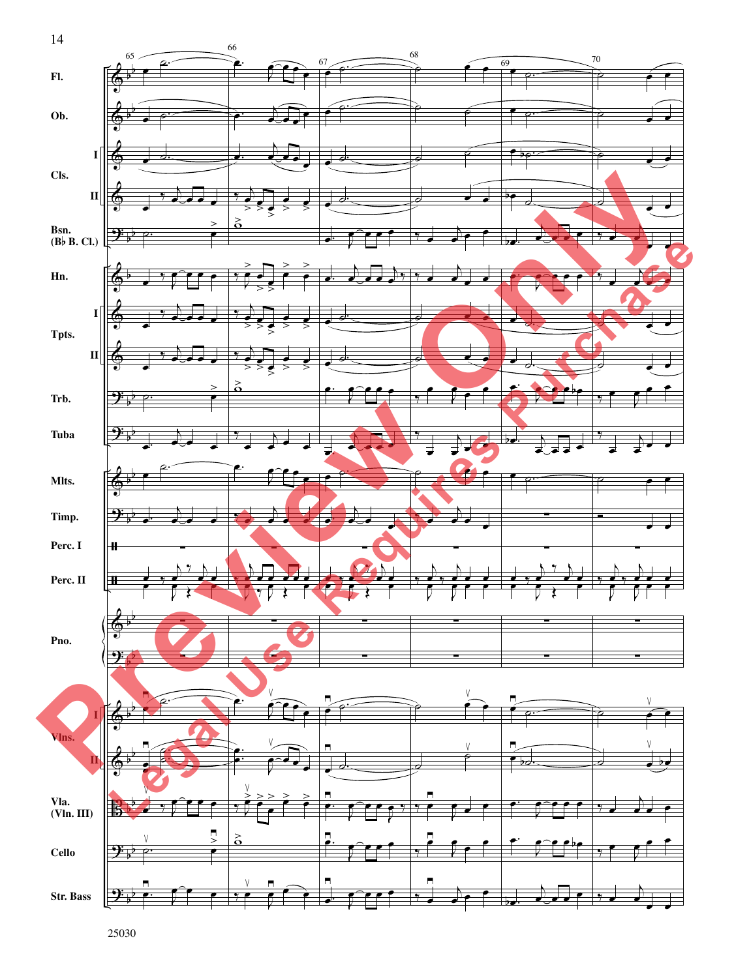![](_page_13_Figure_0.jpeg)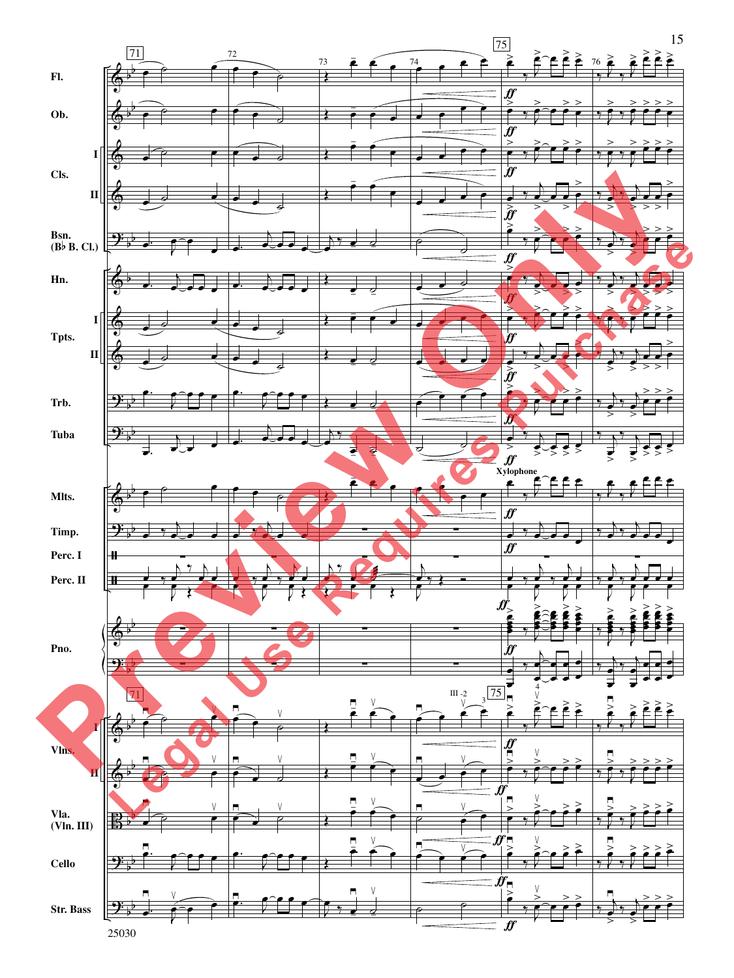![](_page_14_Figure_0.jpeg)